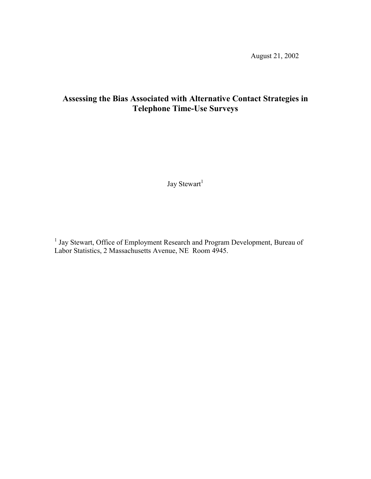August 21, 2002

# **Assessing the Bias Associated with Alternative Contact Strategies in Telephone Time-Use Surveys**

Jay $\mathrm{Stewart}^1$ 

<sup>1</sup> Jay Stewart, Office of Employment Research and Program Development, Bureau of Labor Statistics, 2 Massachusetts Avenue, NE Room 4945.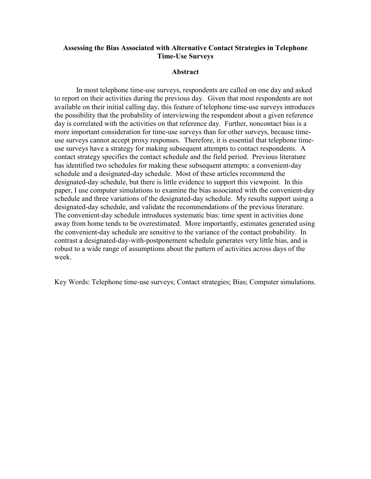## **Assessing the Bias Associated with Alternative Contact Strategies in Telephone Time-Use Surveys**

#### **Abstract**

 In most telephone time-use surveys, respondents are called on one day and asked to report on their activities during the previous day. Given that most respondents are not available on their initial calling day, this feature of telephone time-use surveys introduces the possibility that the probability of interviewing the respondent about a given reference day is correlated with the activities on that reference day. Further, noncontact bias is a more important consideration for time-use surveys than for other surveys, because timeuse surveys cannot accept proxy responses. Therefore, it is essential that telephone timeuse surveys have a strategy for making subsequent attempts to contact respondents. A contact strategy specifies the contact schedule and the field period. Previous literature has identified two schedules for making these subsequent attempts: a convenient-day schedule and a designated-day schedule. Most of these articles recommend the designated-day schedule, but there is little evidence to support this viewpoint. In this paper, I use computer simulations to examine the bias associated with the convenient-day schedule and three variations of the designated-day schedule. My results support using a designated-day schedule, and validate the recommendations of the previous literature. The convenient-day schedule introduces systematic bias: time spent in activities done away from home tends to be overestimated. More importantly, estimates generated using the convenient-day schedule are sensitive to the variance of the contact probability. In contrast a designated-day-with-postponement schedule generates very little bias, and is robust to a wide range of assumptions about the pattern of activities across days of the week.

Key Words: Telephone time-use surveys; Contact strategies; Bias; Computer simulations.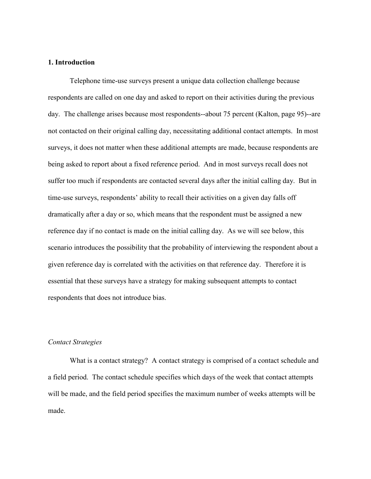#### **1. Introduction**

Telephone time-use surveys present a unique data collection challenge because respondents are called on one day and asked to report on their activities during the previous day. The challenge arises because most respondents--about 75 percent (Kalton, page 95)--are not contacted on their original calling day, necessitating additional contact attempts. In most surveys, it does not matter when these additional attempts are made, because respondents are being asked to report about a fixed reference period. And in most surveys recall does not suffer too much if respondents are contacted several days after the initial calling day. But in time-use surveys, respondents' ability to recall their activities on a given day falls off dramatically after a day or so, which means that the respondent must be assigned a new reference day if no contact is made on the initial calling day. As we will see below, this scenario introduces the possibility that the probability of interviewing the respondent about a given reference day is correlated with the activities on that reference day. Therefore it is essential that these surveys have a strategy for making subsequent attempts to contact respondents that does not introduce bias.

#### *Contact Strategies*

What is a contact strategy? A contact strategy is comprised of a contact schedule and a field period. The contact schedule specifies which days of the week that contact attempts will be made, and the field period specifies the maximum number of weeks attempts will be made.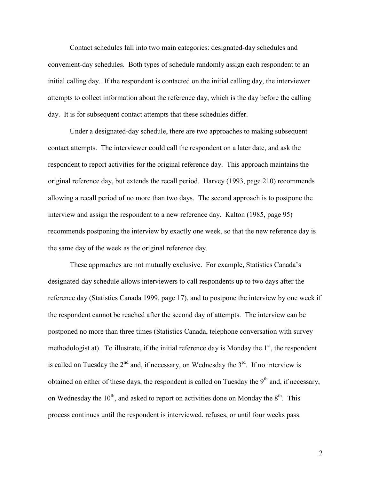Contact schedules fall into two main categories: designated-day schedules and convenient-day schedules. Both types of schedule randomly assign each respondent to an initial calling day. If the respondent is contacted on the initial calling day, the interviewer attempts to collect information about the reference day, which is the day before the calling day. It is for subsequent contact attempts that these schedules differ.

Under a designated-day schedule, there are two approaches to making subsequent contact attempts. The interviewer could call the respondent on a later date, and ask the respondent to report activities for the original reference day. This approach maintains the original reference day, but extends the recall period. Harvey (1993, page 210) recommends allowing a recall period of no more than two days. The second approach is to postpone the interview and assign the respondent to a new reference day. Kalton (1985, page 95) recommends postponing the interview by exactly one week, so that the new reference day is the same day of the week as the original reference day.

These approaches are not mutually exclusive. For example, Statistics Canada's designated-day schedule allows interviewers to call respondents up to two days after the reference day (Statistics Canada 1999, page 17), and to postpone the interview by one week if the respondent cannot be reached after the second day of attempts. The interview can be postponed no more than three times (Statistics Canada, telephone conversation with survey methodologist at). To illustrate, if the initial reference day is Monday the  $1<sup>st</sup>$ , the respondent is called on Tuesday the  $2<sup>nd</sup>$  and, if necessary, on Wednesday the  $3<sup>rd</sup>$ . If no interview is obtained on either of these days, the respondent is called on Tuesday the  $9<sup>th</sup>$  and, if necessary, on Wednesday the  $10^{th}$ , and asked to report on activities done on Monday the  $8^{th}$ . This process continues until the respondent is interviewed, refuses, or until four weeks pass.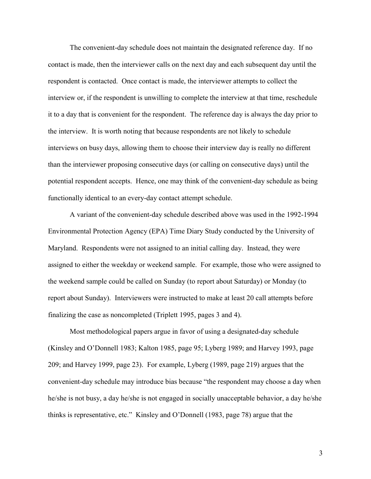The convenient-day schedule does not maintain the designated reference day. If no contact is made, then the interviewer calls on the next day and each subsequent day until the respondent is contacted. Once contact is made, the interviewer attempts to collect the interview or, if the respondent is unwilling to complete the interview at that time, reschedule it to a day that is convenient for the respondent. The reference day is always the day prior to the interview. It is worth noting that because respondents are not likely to schedule interviews on busy days, allowing them to choose their interview day is really no different than the interviewer proposing consecutive days (or calling on consecutive days) until the potential respondent accepts. Hence, one may think of the convenient-day schedule as being functionally identical to an every-day contact attempt schedule.

A variant of the convenient-day schedule described above was used in the 1992-1994 Environmental Protection Agency (EPA) Time Diary Study conducted by the University of Maryland. Respondents were not assigned to an initial calling day. Instead, they were assigned to either the weekday or weekend sample. For example, those who were assigned to the weekend sample could be called on Sunday (to report about Saturday) or Monday (to report about Sunday). Interviewers were instructed to make at least 20 call attempts before finalizing the case as noncompleted (Triplett 1995, pages 3 and 4).

Most methodological papers argue in favor of using a designated-day schedule (Kinsley and O'Donnell 1983; Kalton 1985, page 95; Lyberg 1989; and Harvey 1993, page 209; and Harvey 1999, page 23). For example, Lyberg (1989, page 219) argues that the convenient-day schedule may introduce bias because "the respondent may choose a day when he/she is not busy, a day he/she is not engaged in socially unacceptable behavior, a day he/she thinks is representative, etc." Kinsley and O'Donnell (1983, page 78) argue that the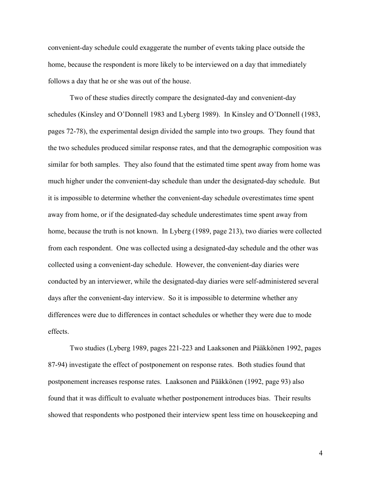convenient-day schedule could exaggerate the number of events taking place outside the home, because the respondent is more likely to be interviewed on a day that immediately follows a day that he or she was out of the house.

Two of these studies directly compare the designated-day and convenient-day schedules (Kinsley and O'Donnell 1983 and Lyberg 1989). In Kinsley and O'Donnell (1983, pages 72-78), the experimental design divided the sample into two groups. They found that the two schedules produced similar response rates, and that the demographic composition was similar for both samples. They also found that the estimated time spent away from home was much higher under the convenient-day schedule than under the designated-day schedule. But it is impossible to determine whether the convenient-day schedule overestimates time spent away from home, or if the designated-day schedule underestimates time spent away from home, because the truth is not known. In Lyberg (1989, page 213), two diaries were collected from each respondent. One was collected using a designated-day schedule and the other was collected using a convenient-day schedule. However, the convenient-day diaries were conducted by an interviewer, while the designated-day diaries were self-administered several days after the convenient-day interview. So it is impossible to determine whether any differences were due to differences in contact schedules or whether they were due to mode effects.

Two studies (Lyberg 1989, pages 221-223 and Laaksonen and Pääkkönen 1992, pages 87-94) investigate the effect of postponement on response rates. Both studies found that postponement increases response rates. Laaksonen and Pääkkönen (1992, page 93) also found that it was difficult to evaluate whether postponement introduces bias. Their results showed that respondents who postponed their interview spent less time on housekeeping and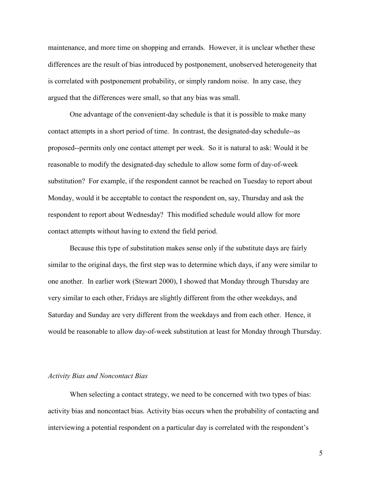maintenance, and more time on shopping and errands. However, it is unclear whether these differences are the result of bias introduced by postponement, unobserved heterogeneity that is correlated with postponement probability, or simply random noise. In any case, they argued that the differences were small, so that any bias was small.

One advantage of the convenient-day schedule is that it is possible to make many contact attempts in a short period of time. In contrast, the designated-day schedule--as proposed--permits only one contact attempt per week. So it is natural to ask: Would it be reasonable to modify the designated-day schedule to allow some form of day-of-week substitution? For example, if the respondent cannot be reached on Tuesday to report about Monday, would it be acceptable to contact the respondent on, say, Thursday and ask the respondent to report about Wednesday? This modified schedule would allow for more contact attempts without having to extend the field period.

Because this type of substitution makes sense only if the substitute days are fairly similar to the original days, the first step was to determine which days, if any were similar to one another. In earlier work (Stewart 2000), I showed that Monday through Thursday are very similar to each other, Fridays are slightly different from the other weekdays, and Saturday and Sunday are very different from the weekdays and from each other. Hence, it would be reasonable to allow day-of-week substitution at least for Monday through Thursday.

## *Activity Bias and Noncontact Bias*

When selecting a contact strategy, we need to be concerned with two types of bias: activity bias and noncontact bias. Activity bias occurs when the probability of contacting and interviewing a potential respondent on a particular day is correlated with the respondent's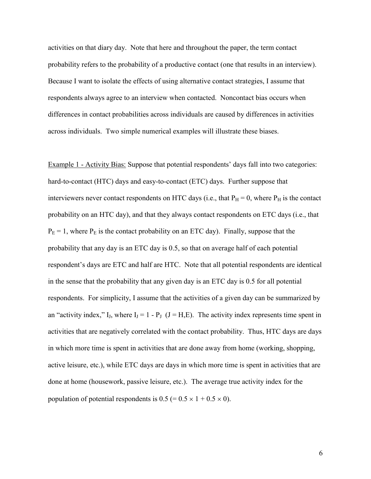activities on that diary day. Note that here and throughout the paper, the term contact probability refers to the probability of a productive contact (one that results in an interview). Because I want to isolate the effects of using alternative contact strategies, I assume that respondents always agree to an interview when contacted. Noncontact bias occurs when differences in contact probabilities across individuals are caused by differences in activities across individuals. Two simple numerical examples will illustrate these biases.

Example 1 - Activity Bias: Suppose that potential respondents' days fall into two categories: hard-to-contact (HTC) days and easy-to-contact (ETC) days. Further suppose that interviewers never contact respondents on HTC days (i.e., that  $P_H = 0$ , where  $P_H$  is the contact probability on an HTC day), and that they always contact respondents on ETC days (i.e., that  $P_E = 1$ , where  $P_E$  is the contact probability on an ETC day). Finally, suppose that the probability that any day is an ETC day is 0.5, so that on average half of each potential respondent's days are ETC and half are HTC. Note that all potential respondents are identical in the sense that the probability that any given day is an ETC day is 0.5 for all potential respondents. For simplicity, I assume that the activities of a given day can be summarized by an "activity index," I<sub>J</sub>, where I<sub>J</sub> = 1 - P<sub>J</sub> (J = H, E). The activity index represents time spent in activities that are negatively correlated with the contact probability. Thus, HTC days are days in which more time is spent in activities that are done away from home (working, shopping, active leisure, etc.), while ETC days are days in which more time is spent in activities that are done at home (housework, passive leisure, etc.). The average true activity index for the population of potential respondents is  $0.5 (= 0.5 \times 1 + 0.5 \times 0)$ .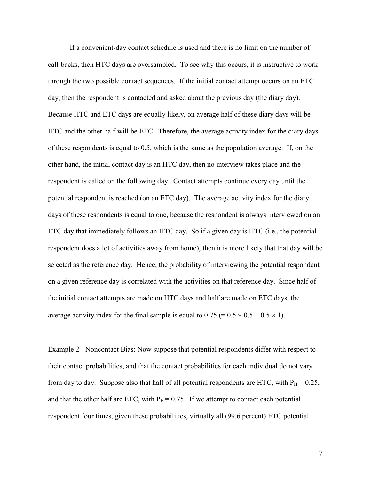If a convenient-day contact schedule is used and there is no limit on the number of call-backs, then HTC days are oversampled. To see why this occurs, it is instructive to work through the two possible contact sequences. If the initial contact attempt occurs on an ETC day, then the respondent is contacted and asked about the previous day (the diary day). Because HTC and ETC days are equally likely, on average half of these diary days will be HTC and the other half will be ETC. Therefore, the average activity index for the diary days of these respondents is equal to 0.5, which is the same as the population average. If, on the other hand, the initial contact day is an HTC day, then no interview takes place and the respondent is called on the following day. Contact attempts continue every day until the potential respondent is reached (on an ETC day). The average activity index for the diary days of these respondents is equal to one, because the respondent is always interviewed on an ETC day that immediately follows an HTC day. So if a given day is HTC (i.e., the potential respondent does a lot of activities away from home), then it is more likely that that day will be selected as the reference day. Hence, the probability of interviewing the potential respondent on a given reference day is correlated with the activities on that reference day. Since half of the initial contact attempts are made on HTC days and half are made on ETC days, the average activity index for the final sample is equal to  $0.75 (= 0.5 \times 0.5 + 0.5 \times 1)$ .

Example 2 - Noncontact Bias: Now suppose that potential respondents differ with respect to their contact probabilities, and that the contact probabilities for each individual do not vary from day to day. Suppose also that half of all potential respondents are HTC, with  $P_H = 0.25$ , and that the other half are ETC, with  $P_E = 0.75$ . If we attempt to contact each potential respondent four times, given these probabilities, virtually all (99.6 percent) ETC potential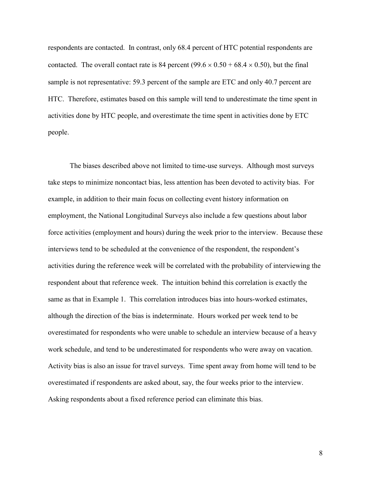respondents are contacted. In contrast, only 68.4 percent of HTC potential respondents are contacted. The overall contact rate is 84 percent  $(99.6 \times 0.50 + 68.4 \times 0.50)$ , but the final sample is not representative: 59.3 percent of the sample are ETC and only 40.7 percent are HTC. Therefore, estimates based on this sample will tend to underestimate the time spent in activities done by HTC people, and overestimate the time spent in activities done by ETC people.

The biases described above not limited to time-use surveys. Although most surveys take steps to minimize noncontact bias, less attention has been devoted to activity bias. For example, in addition to their main focus on collecting event history information on employment, the National Longitudinal Surveys also include a few questions about labor force activities (employment and hours) during the week prior to the interview. Because these interviews tend to be scheduled at the convenience of the respondent, the respondent's activities during the reference week will be correlated with the probability of interviewing the respondent about that reference week. The intuition behind this correlation is exactly the same as that in Example 1. This correlation introduces bias into hours-worked estimates, although the direction of the bias is indeterminate. Hours worked per week tend to be overestimated for respondents who were unable to schedule an interview because of a heavy work schedule, and tend to be underestimated for respondents who were away on vacation. Activity bias is also an issue for travel surveys. Time spent away from home will tend to be overestimated if respondents are asked about, say, the four weeks prior to the interview. Asking respondents about a fixed reference period can eliminate this bias.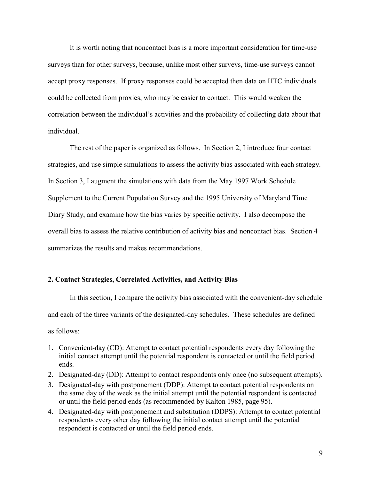It is worth noting that noncontact bias is a more important consideration for time-use surveys than for other surveys, because, unlike most other surveys, time-use surveys cannot accept proxy responses. If proxy responses could be accepted then data on HTC individuals could be collected from proxies, who may be easier to contact. This would weaken the correlation between the individual's activities and the probability of collecting data about that individual.

The rest of the paper is organized as follows. In Section 2, I introduce four contact strategies, and use simple simulations to assess the activity bias associated with each strategy. In Section 3, I augment the simulations with data from the May 1997 Work Schedule Supplement to the Current Population Survey and the 1995 University of Maryland Time Diary Study, and examine how the bias varies by specific activity. I also decompose the overall bias to assess the relative contribution of activity bias and noncontact bias. Section 4 summarizes the results and makes recommendations.

## **2. Contact Strategies, Correlated Activities, and Activity Bias**

In this section, I compare the activity bias associated with the convenient-day schedule and each of the three variants of the designated-day schedules. These schedules are defined as follows:

- 1. Convenient-day (CD): Attempt to contact potential respondents every day following the initial contact attempt until the potential respondent is contacted or until the field period ends.
- 2. Designated-day (DD): Attempt to contact respondents only once (no subsequent attempts).
- 3. Designated-day with postponement (DDP): Attempt to contact potential respondents on the same day of the week as the initial attempt until the potential respondent is contacted or until the field period ends (as recommended by Kalton 1985, page 95).
- 4. Designated-day with postponement and substitution (DDPS): Attempt to contact potential respondents every other day following the initial contact attempt until the potential respondent is contacted or until the field period ends.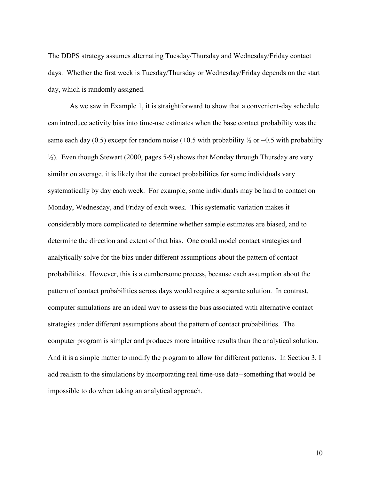The DDPS strategy assumes alternating Tuesday/Thursday and Wednesday/Friday contact days. Whether the first week is Tuesday/Thursday or Wednesday/Friday depends on the start day, which is randomly assigned.

As we saw in Example 1, it is straightforward to show that a convenient-day schedule can introduce activity bias into time-use estimates when the base contact probability was the same each day (0.5) except for random noise (+0.5 with probability  $\frac{1}{2}$  or  $-0.5$  with probability  $\frac{1}{2}$ ). Even though Stewart (2000, pages 5-9) shows that Monday through Thursday are very similar on average, it is likely that the contact probabilities for some individuals vary systematically by day each week. For example, some individuals may be hard to contact on Monday, Wednesday, and Friday of each week. This systematic variation makes it considerably more complicated to determine whether sample estimates are biased, and to determine the direction and extent of that bias. One could model contact strategies and analytically solve for the bias under different assumptions about the pattern of contact probabilities. However, this is a cumbersome process, because each assumption about the pattern of contact probabilities across days would require a separate solution. In contrast, computer simulations are an ideal way to assess the bias associated with alternative contact strategies under different assumptions about the pattern of contact probabilities. The computer program is simpler and produces more intuitive results than the analytical solution. And it is a simple matter to modify the program to allow for different patterns. In Section 3, I add realism to the simulations by incorporating real time-use data--something that would be impossible to do when taking an analytical approach.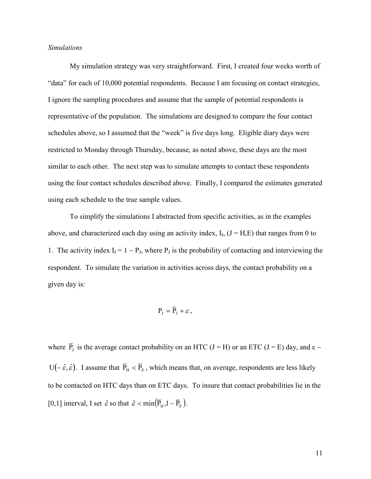## *Simulations*

My simulation strategy was very straightforward. First, I created four weeks worth of "data" for each of 10,000 potential respondents. Because I am focusing on contact strategies, I ignore the sampling procedures and assume that the sample of potential respondents is representative of the population. The simulations are designed to compare the four contact schedules above, so I assumed that the "week" is five days long. Eligible diary days were restricted to Monday through Thursday, because, as noted above, these days are the most similar to each other. The next step was to simulate attempts to contact these respondents using the four contact schedules described above. Finally, I compared the estimates generated using each schedule to the true sample values.

To simplify the simulations I abstracted from specific activities, as in the examples above, and characterized each day using an activity index,  $I<sub>J</sub>$ ,  $(J = H,E)$  that ranges from 0 to 1. The activity index  $I_J = 1 - P_J$ , where  $P_J$  is the probability of contacting and interviewing the respondent. To simulate the variation in activities across days, the contact probability on a given day is:

$$
\mathbf{P}_{\mathrm{J}}=\overline{\mathbf{P}}_{\mathrm{J}}+\varepsilon\,,
$$

where  $\overline{P}_J$  is the average contact probability on an HTC (J = H) or an ETC (J = E) day, and  $\varepsilon \sim$  $U(-\hat{\varepsilon}, \hat{\varepsilon})$ . I assume that  $\overline{P}_H < \overline{P}_E$ , which means that, on average, respondents are less likely to be contacted on HTC days than on ETC days. To insure that contact probabilities lie in the [0,1] interval, I set  $\hat{\varepsilon}$  so that  $\hat{\varepsilon} < \min(\overline{P}_H, 1 - \overline{P}_E)$ .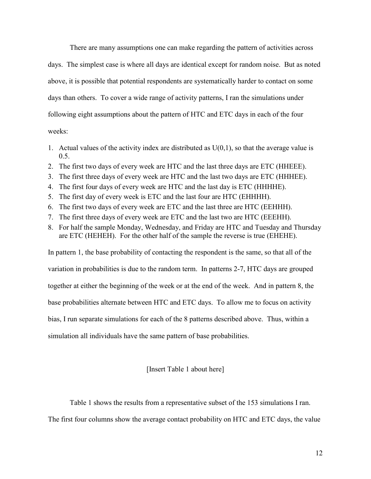There are many assumptions one can make regarding the pattern of activities across days. The simplest case is where all days are identical except for random noise. But as noted above, it is possible that potential respondents are systematically harder to contact on some days than others. To cover a wide range of activity patterns, I ran the simulations under following eight assumptions about the pattern of HTC and ETC days in each of the four weeks:

- 1. Actual values of the activity index are distributed as  $U(0,1)$ , so that the average value is 0.5.
- 2. The first two days of every week are HTC and the last three days are ETC (HHEEE).
- 3. The first three days of every week are HTC and the last two days are ETC (HHHEE).
- 4. The first four days of every week are HTC and the last day is ETC (HHHHE).
- 5. The first day of every week is ETC and the last four are HTC (EHHHH).
- 6. The first two days of every week are ETC and the last three are HTC (EEHHH).
- 7. The first three days of every week are ETC and the last two are HTC (EEEHH).
- 8. For half the sample Monday, Wednesday, and Friday are HTC and Tuesday and Thursday are ETC (HEHEH). For the other half of the sample the reverse is true (EHEHE).

In pattern 1, the base probability of contacting the respondent is the same, so that all of the variation in probabilities is due to the random term. In patterns 2-7, HTC days are grouped together at either the beginning of the week or at the end of the week. And in pattern 8, the base probabilities alternate between HTC and ETC days. To allow me to focus on activity bias, I run separate simulations for each of the 8 patterns described above. Thus, within a simulation all individuals have the same pattern of base probabilities.

[Insert Table 1 about here]

 Table 1 shows the results from a representative subset of the 153 simulations I ran. The first four columns show the average contact probability on HTC and ETC days, the value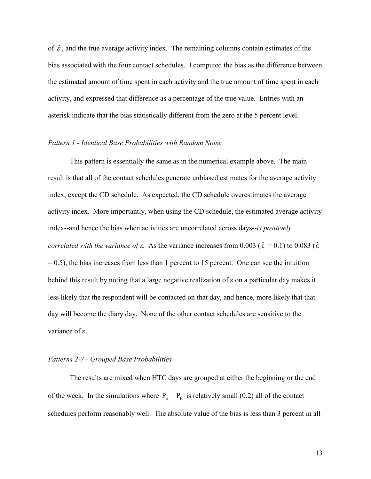of  $\hat{\varepsilon}$ , and the true average activity index. The remaining columns contain estimates of the bias associated with the four contact schedules. I computed the bias as the difference between the estimated amount of time spent in each activity and the true amount of time spent in each activity, and expressed that difference as a percentage of the true value. Entries with an asterisk indicate that the bias statistically different from the zero at the 5 percent level.

## *Pattern 1 - Identical Base Probabilities with Random Noise*

This pattern is essentially the same as in the numerical example above. The main result is that all of the contact schedules generate unbiased estimates for the average activity index, except the CD schedule. As expected, the CD schedule overestimates the average activity index. More importantly, when using the CD schedule, the estimated average activity index--and hence the bias when activities are uncorrelated across days--*is positively correlated with the variance of*  $\varepsilon$ *.* As the variance increases from 0.003 ( $\hat{\varepsilon} = 0.1$ ) to 0.083 ( $\hat{\varepsilon}$ )  $= 0.5$ ), the bias increases from less than 1 percent to 15 percent. One can see the intuition behind this result by noting that a large negative realization of  $\varepsilon$  on a particular day makes it less likely that the respondent will be contacted on that day, and hence, more likely that that day will become the diary day. None of the other contact schedules are sensitive to the variance of ε.

## *Patterns 2-7 - Grouped Base Probabilities*

The results are mixed when HTC days are grouped at either the beginning or the end of the week. In the simulations where  $\overline{P}_E - \overline{P}_H$  is relatively small (0.2) all of the contact schedules perform reasonably well. The absolute value of the bias is less than 3 percent in all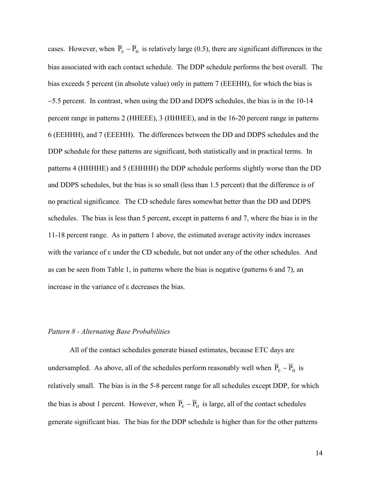cases. However, when  $\overline{P}_E - \overline{P}_H$  is relatively large (0.5), there are significant differences in the bias associated with each contact schedule. The DDP schedule performs the best overall. The bias exceeds 5 percent (in absolute value) only in pattern 7 (EEEHH), for which the bias is -5.5 percent. In contrast, when using the DD and DDPS schedules, the bias is in the 10-14 percent range in patterns 2 (HHEEE), 3 (HHHEE), and in the 16-20 percent range in patterns 6 (EEHHH), and 7 (EEEHH). The differences between the DD and DDPS schedules and the DDP schedule for these patterns are significant, both statistically and in practical terms. In patterns 4 (HHHHE) and 5 (EHHHH) the DDP schedule performs slightly worse than the DD and DDPS schedules, but the bias is so small (less than 1.5 percent) that the difference is of no practical significance. The CD schedule fares somewhat better than the DD and DDPS schedules. The bias is less than 5 percent, except in patterns 6 and 7, where the bias is in the 11-18 percent range. As in pattern 1 above, the estimated average activity index increases with the variance of  $\varepsilon$  under the CD schedule, but not under any of the other schedules. And as can be seen from Table 1, in patterns where the bias is negative (patterns 6 and 7), an increase in the variance of  $\varepsilon$  decreases the bias.

## *Pattern 8 - Alternating Base Probabilities*

All of the contact schedules generate biased estimates, because ETC days are undersampled. As above, all of the schedules perform reasonably well when  $\overline{P}_E - \overline{P}_H$  is relatively small. The bias is in the 5-8 percent range for all schedules except DDP, for which the bias is about 1 percent. However, when  $\overline{P}_E - \overline{P}_H$  is large, all of the contact schedules generate significant bias. The bias for the DDP schedule is higher than for the other patterns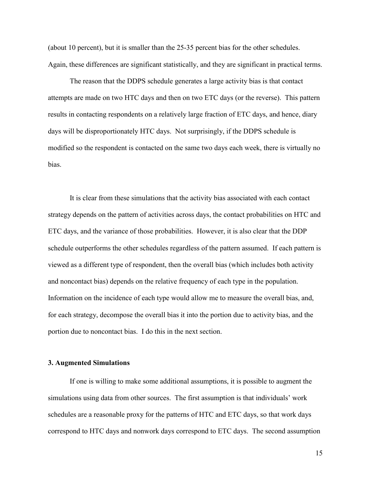(about 10 percent), but it is smaller than the 25-35 percent bias for the other schedules. Again, these differences are significant statistically, and they are significant in practical terms.

The reason that the DDPS schedule generates a large activity bias is that contact attempts are made on two HTC days and then on two ETC days (or the reverse). This pattern results in contacting respondents on a relatively large fraction of ETC days, and hence, diary days will be disproportionately HTC days. Not surprisingly, if the DDPS schedule is modified so the respondent is contacted on the same two days each week, there is virtually no bias.

 It is clear from these simulations that the activity bias associated with each contact strategy depends on the pattern of activities across days, the contact probabilities on HTC and ETC days, and the variance of those probabilities. However, it is also clear that the DDP schedule outperforms the other schedules regardless of the pattern assumed. If each pattern is viewed as a different type of respondent, then the overall bias (which includes both activity and noncontact bias) depends on the relative frequency of each type in the population. Information on the incidence of each type would allow me to measure the overall bias, and, for each strategy, decompose the overall bias it into the portion due to activity bias, and the portion due to noncontact bias. I do this in the next section.

## **3. Augmented Simulations**

If one is willing to make some additional assumptions, it is possible to augment the simulations using data from other sources. The first assumption is that individuals' work schedules are a reasonable proxy for the patterns of HTC and ETC days, so that work days correspond to HTC days and nonwork days correspond to ETC days. The second assumption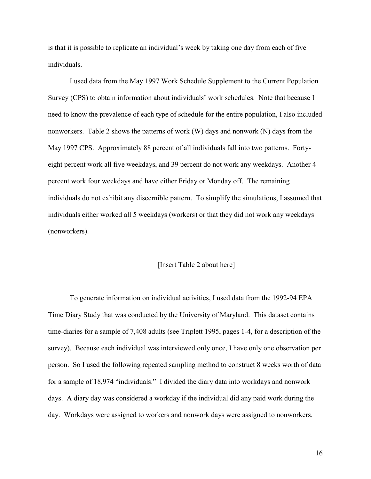is that it is possible to replicate an individual's week by taking one day from each of five individuals.

I used data from the May 1997 Work Schedule Supplement to the Current Population Survey (CPS) to obtain information about individuals' work schedules. Note that because I need to know the prevalence of each type of schedule for the entire population, I also included nonworkers. Table 2 shows the patterns of work (W) days and nonwork (N) days from the May 1997 CPS. Approximately 88 percent of all individuals fall into two patterns. Fortyeight percent work all five weekdays, and 39 percent do not work any weekdays. Another 4 percent work four weekdays and have either Friday or Monday off. The remaining individuals do not exhibit any discernible pattern. To simplify the simulations, I assumed that individuals either worked all 5 weekdays (workers) or that they did not work any weekdays (nonworkers).

#### [Insert Table 2 about here]

 To generate information on individual activities, I used data from the 1992-94 EPA Time Diary Study that was conducted by the University of Maryland. This dataset contains time-diaries for a sample of 7,408 adults (see Triplett 1995, pages 1-4, for a description of the survey). Because each individual was interviewed only once, I have only one observation per person. So I used the following repeated sampling method to construct 8 weeks worth of data for a sample of 18,974 "individuals." I divided the diary data into workdays and nonwork days. A diary day was considered a workday if the individual did any paid work during the day. Workdays were assigned to workers and nonwork days were assigned to nonworkers.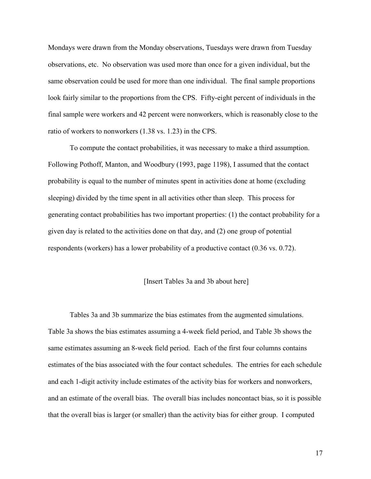Mondays were drawn from the Monday observations, Tuesdays were drawn from Tuesday observations, etc. No observation was used more than once for a given individual, but the same observation could be used for more than one individual. The final sample proportions look fairly similar to the proportions from the CPS. Fifty-eight percent of individuals in the final sample were workers and 42 percent were nonworkers, which is reasonably close to the ratio of workers to nonworkers (1.38 vs. 1.23) in the CPS.

To compute the contact probabilities, it was necessary to make a third assumption. Following Pothoff, Manton, and Woodbury (1993, page 1198), I assumed that the contact probability is equal to the number of minutes spent in activities done at home (excluding sleeping) divided by the time spent in all activities other than sleep. This process for generating contact probabilities has two important properties: (1) the contact probability for a given day is related to the activities done on that day, and (2) one group of potential respondents (workers) has a lower probability of a productive contact (0.36 vs. 0.72).

#### [Insert Tables 3a and 3b about here]

Tables 3a and 3b summarize the bias estimates from the augmented simulations. Table 3a shows the bias estimates assuming a 4-week field period, and Table 3b shows the same estimates assuming an 8-week field period. Each of the first four columns contains estimates of the bias associated with the four contact schedules. The entries for each schedule and each 1-digit activity include estimates of the activity bias for workers and nonworkers, and an estimate of the overall bias. The overall bias includes noncontact bias, so it is possible that the overall bias is larger (or smaller) than the activity bias for either group. I computed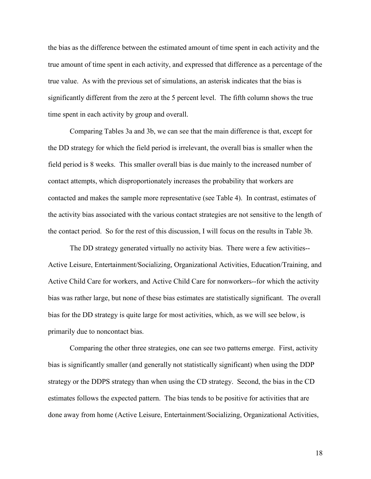the bias as the difference between the estimated amount of time spent in each activity and the true amount of time spent in each activity, and expressed that difference as a percentage of the true value. As with the previous set of simulations, an asterisk indicates that the bias is significantly different from the zero at the 5 percent level. The fifth column shows the true time spent in each activity by group and overall.

Comparing Tables 3a and 3b, we can see that the main difference is that, except for the DD strategy for which the field period is irrelevant, the overall bias is smaller when the field period is 8 weeks. This smaller overall bias is due mainly to the increased number of contact attempts, which disproportionately increases the probability that workers are contacted and makes the sample more representative (see Table 4). In contrast, estimates of the activity bias associated with the various contact strategies are not sensitive to the length of the contact period. So for the rest of this discussion, I will focus on the results in Table 3b.

The DD strategy generated virtually no activity bias. There were a few activities-- Active Leisure, Entertainment/Socializing, Organizational Activities, Education/Training, and Active Child Care for workers, and Active Child Care for nonworkers--for which the activity bias was rather large, but none of these bias estimates are statistically significant. The overall bias for the DD strategy is quite large for most activities, which, as we will see below, is primarily due to noncontact bias.

Comparing the other three strategies, one can see two patterns emerge. First, activity bias is significantly smaller (and generally not statistically significant) when using the DDP strategy or the DDPS strategy than when using the CD strategy. Second, the bias in the CD estimates follows the expected pattern. The bias tends to be positive for activities that are done away from home (Active Leisure, Entertainment/Socializing, Organizational Activities,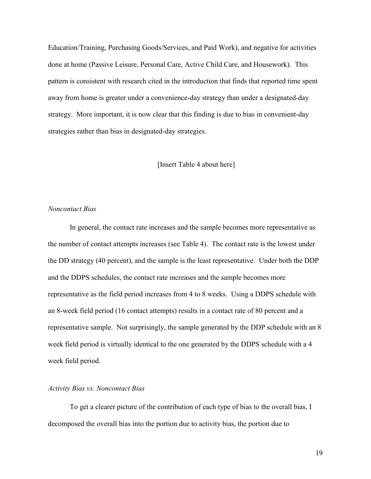Education/Training, Purchasing Goods/Services, and Paid Work), and negative for activities done at home (Passive Leisure, Personal Care, Active Child Care, and Housework). This pattern is consistent with research cited in the introduction that finds that reported time spent away from home is greater under a convenience-day strategy than under a designated-day strategy. More important, it is now clear that this finding is due to bias in convenient-day strategies rather than bias in designated-day strategies.

#### [Insert Table 4 about here]

### *Noncontact Bias*

In general, the contact rate increases and the sample becomes more representative as the number of contact attempts increases (see Table 4). The contact rate is the lowest under the DD strategy (40 percent), and the sample is the least representative. Under both the DDP and the DDPS schedules, the contact rate increases and the sample becomes more representative as the field period increases from 4 to 8 weeks. Using a DDPS schedule with an 8-week field period (16 contact attempts) results in a contact rate of 80 percent and a representative sample. Not surprisingly, the sample generated by the DDP schedule with an 8 week field period is virtually identical to the one generated by the DDPS schedule with a 4 week field period.

## *Activity Bias vs. Noncontact Bias*

To get a clearer picture of the contribution of each type of bias to the overall bias, I decomposed the overall bias into the portion due to activity bias, the portion due to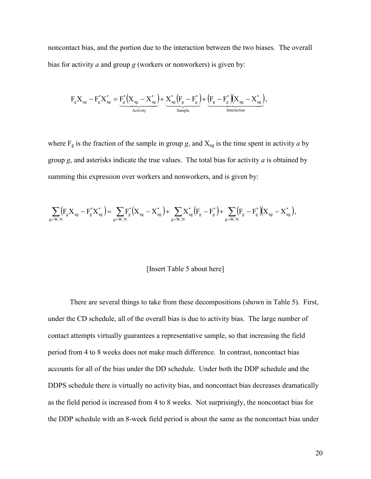noncontact bias, and the portion due to the interaction between the two biases. The overall bias for activity *a* and group *g* (workers or nonworkers) is given by:

$$
F_gX_{ag} - F_g^*X_{ag}^* = \underbrace{F_g^*\Big(X_{ag}-X_{ag}^*\Big)}_{\text{Activity}} + \underbrace{X_{ag}^*\Big(F_g-F_g^*\Big)}_{\text{Sample}} + \underbrace{\Big(F_g-F_g^*\Big(X_{ag}-X_{ag}^*\Big)}_{\text{Interaction}},
$$

where  $F_g$  is the fraction of the sample in group *g*, and  $X_{ag}$  is the time spent in activity *a* by group *g*, and asterisks indicate the true values. The total bias for activity *a* is obtained by summing this expression over workers and nonworkers, and is given by:

$$
\sum_{g=W,N}\!\!\!\! \left( \!F_{g} X_{ag} - F_{g}^* X_{ag}^* \right) \! = \! \sum_{g=W,N}\!\! F_{g}^* \! \left( \!X_{ag} - X_{ag}^* \right) \! + \! \sum_{g=W,N}\!\! X_{ag}^* \! \left( \!F_{g} - F_{g}^* \right) \! + \! \sum_{g=W,N}\!\!\!\! \left( \!F_{g} - F_{g}^* \right) \!\! \left( \!X_{ag} - X_{ag}^* \right) \! ,
$$

#### [Insert Table 5 about here]

There are several things to take from these decompositions (shown in Table 5). First, under the CD schedule, all of the overall bias is due to activity bias. The large number of contact attempts virtually guarantees a representative sample, so that increasing the field period from 4 to 8 weeks does not make much difference. In contrast, noncontact bias accounts for all of the bias under the DD schedule. Under both the DDP schedule and the DDPS schedule there is virtually no activity bias, and noncontact bias decreases dramatically as the field period is increased from 4 to 8 weeks. Not surprisingly, the noncontact bias for the DDP schedule with an 8-week field period is about the same as the noncontact bias under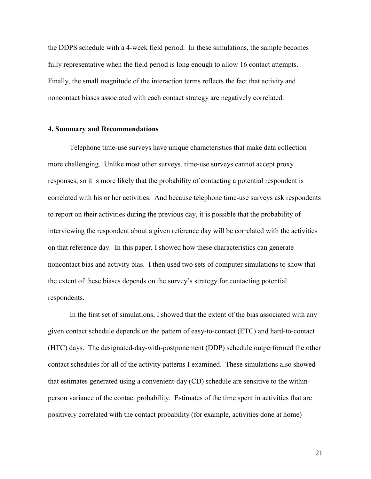the DDPS schedule with a 4-week field period. In these simulations, the sample becomes fully representative when the field period is long enough to allow 16 contact attempts. Finally, the small magnitude of the interaction terms reflects the fact that activity and noncontact biases associated with each contact strategy are negatively correlated.

## **4. Summary and Recommendations**

Telephone time-use surveys have unique characteristics that make data collection more challenging. Unlike most other surveys, time-use surveys cannot accept proxy responses, so it is more likely that the probability of contacting a potential respondent is correlated with his or her activities. And because telephone time-use surveys ask respondents to report on their activities during the previous day, it is possible that the probability of interviewing the respondent about a given reference day will be correlated with the activities on that reference day. In this paper, I showed how these characteristics can generate noncontact bias and activity bias. I then used two sets of computer simulations to show that the extent of these biases depends on the survey's strategy for contacting potential respondents.

In the first set of simulations, I showed that the extent of the bias associated with any given contact schedule depends on the pattern of easy-to-contact (ETC) and hard-to-contact (HTC) days. The designated-day-with-postponement (DDP) schedule outperformed the other contact schedules for all of the activity patterns I examined. These simulations also showed that estimates generated using a convenient-day (CD) schedule are sensitive to the withinperson variance of the contact probability. Estimates of the time spent in activities that are positively correlated with the contact probability (for example, activities done at home)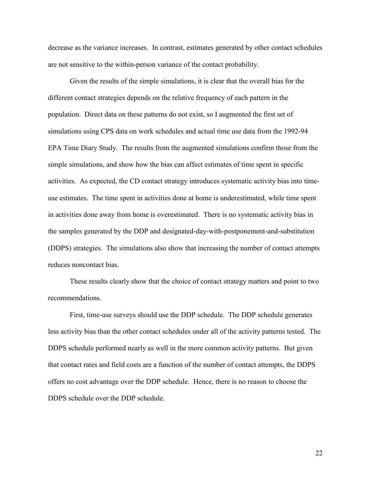decrease as the variance increases. In contrast, estimates generated by other contact schedules are not sensitive to the within-person variance of the contact probability.

Given the results of the simple simulations, it is clear that the overall bias for the different contact strategies depends on the relative frequency of each pattern in the population. Direct data on these patterns do not exist, so I augmented the first set of simulations using CPS data on work schedules and actual time use data from the 1992-94 EPA Time Diary Study. The results from the augmented simulations confirm those from the simple simulations, and show how the bias can affect estimates of time spent in specific activities. As expected, the CD contact strategy introduces systematic activity bias into timeuse estimates. The time spent in activities done at home is underestimated, while time spent in activities done away from home is overestimated. There is no systematic activity bias in the samples generated by the DDP and designated-day-with-postponement-and-substitution (DDPS) strategies. The simulations also show that increasing the number of contact attempts reduces noncontact bias.

These results clearly show that the choice of contact strategy matters and point to two recommendations.

First, time-use surveys should use the DDP schedule. The DDP schedule generates less activity bias than the other contact schedules under all of the activity patterns tested. The DDPS schedule performed nearly as well in the more common activity patterns. But given that contact rates and field costs are a function of the number of contact attempts, the DDPS offers no cost advantage over the DDP schedule. Hence, there is no reason to choose the DDPS schedule over the DDP schedule.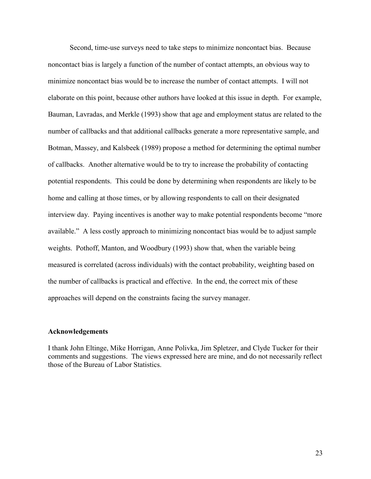Second, time-use surveys need to take steps to minimize noncontact bias. Because noncontact bias is largely a function of the number of contact attempts, an obvious way to minimize noncontact bias would be to increase the number of contact attempts. I will not elaborate on this point, because other authors have looked at this issue in depth. For example, Bauman, Lavradas, and Merkle (1993) show that age and employment status are related to the number of callbacks and that additional callbacks generate a more representative sample, and Botman, Massey, and Kalsbeek (1989) propose a method for determining the optimal number of callbacks. Another alternative would be to try to increase the probability of contacting potential respondents. This could be done by determining when respondents are likely to be home and calling at those times, or by allowing respondents to call on their designated interview day. Paying incentives is another way to make potential respondents become "more available." A less costly approach to minimizing noncontact bias would be to adjust sample weights. Pothoff, Manton, and Woodbury (1993) show that, when the variable being measured is correlated (across individuals) with the contact probability, weighting based on the number of callbacks is practical and effective. In the end, the correct mix of these approaches will depend on the constraints facing the survey manager.

#### **Acknowledgements**

I thank John Eltinge, Mike Horrigan, Anne Polivka, Jim Spletzer, and Clyde Tucker for their comments and suggestions. The views expressed here are mine, and do not necessarily reflect those of the Bureau of Labor Statistics.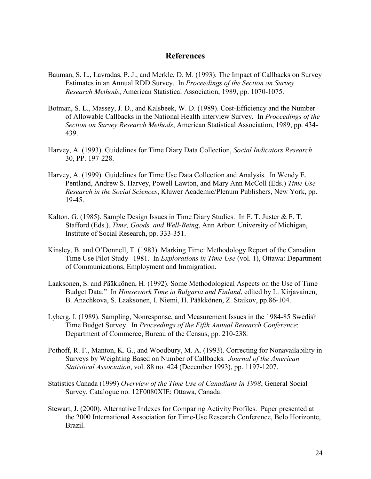## **References**

- Bauman, S. L., Lavradas, P. J., and Merkle, D. M. (1993). The Impact of Callbacks on Survey Estimates in an Annual RDD Survey. In *Proceedings of the Section on Survey Research Methods*, American Statistical Association, 1989, pp. 1070-1075.
- Botman, S. L., Massey, J. D., and Kalsbeek, W. D. (1989). Cost-Efficiency and the Number of Allowable Callbacks in the National Health interview Survey. In *Proceedings of the Section on Survey Research Methods*, American Statistical Association, 1989, pp. 434- 439.
- Harvey, A. (1993). Guidelines for Time Diary Data Collection, *Social Indicators Research* 30, PP. 197-228.
- Harvey, A. (1999). Guidelines for Time Use Data Collection and Analysis. In Wendy E. Pentland, Andrew S. Harvey, Powell Lawton, and Mary Ann McColl (Eds.) *Time Use Research in the Social Sciences*, Kluwer Academic/Plenum Publishers, New York, pp. 19-45.
- Kalton, G. (1985). Sample Design Issues in Time Diary Studies. In F. T. Juster & F. T. Stafford (Eds.), *Time, Goods, and Well-Being*, Ann Arbor: University of Michigan, Institute of Social Research, pp. 333-351.
- Kinsley, B. and O'Donnell, T. (1983). Marking Time: Methodology Report of the Canadian Time Use Pilot Study--1981. In *Explorations in Time Use* (vol. 1), Ottawa: Department of Communications, Employment and Immigration.
- Laaksonen, S. and Pääkkönen, H. (1992). Some Methodological Aspects on the Use of Time Budget Data." In *Housework Time in Bulgaria and Finland*, edited by L. Kirjavainen, B. Anachkova, S. Laaksonen, I. Niemi, H. Pääkkönen, Z. Staikov, pp.86-104.
- Lyberg, I. (1989). Sampling, Nonresponse, and Measurement Issues in the 1984-85 Swedish Time Budget Survey. In *Proceedings of the Fifth Annual Research Conference*: Department of Commerce, Bureau of the Census, pp. 210-238.
- Pothoff, R. F., Manton, K. G., and Woodbury, M. A. (1993). Correcting for Nonavailability in Surveys by Weighting Based on Number of Callbacks. *Journal of the American Statistical Association*, vol. 88 no. 424 (December 1993), pp. 1197-1207.
- Statistics Canada (1999) *Overview of the Time Use of Canadians in 1998*, General Social Survey, Catalogue no. 12F0080XIE; Ottawa, Canada.
- Stewart, J. (2000). Alternative Indexes for Comparing Activity Profiles. Paper presented at the 2000 International Association for Time-Use Research Conference, Belo Horizonte, Brazil.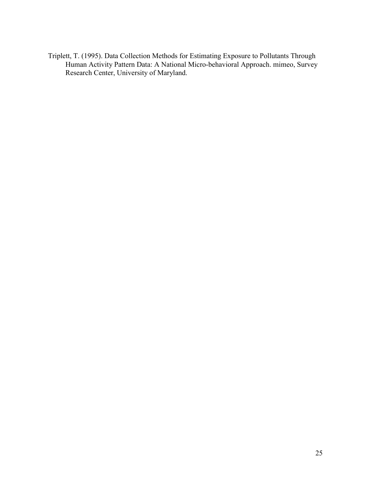Triplett, T. (1995). Data Collection Methods for Estimating Exposure to Pollutants Through Human Activity Pattern Data: A National Micro-behavioral Approach. mimeo, Survey Research Center, University of Maryland.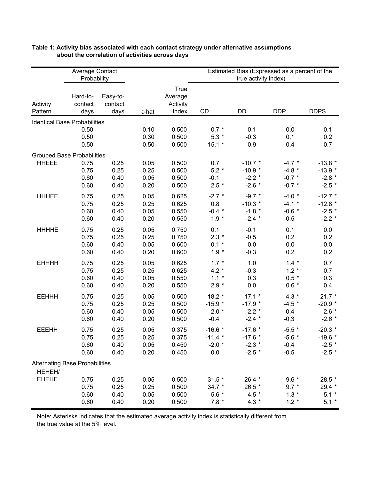|                                       | Estimated Bias (Expressed as a percent of the<br>Average Contact<br>Probability<br>true activity index) |          |       |             |           |           |            |             |
|---------------------------------------|---------------------------------------------------------------------------------------------------------|----------|-------|-------------|-----------|-----------|------------|-------------|
|                                       |                                                                                                         |          |       | <b>True</b> |           |           |            |             |
|                                       | Hard-to-                                                                                                | Easy-to- |       | Average     |           |           |            |             |
| Activity                              | contact                                                                                                 | contact  |       | Activity    |           |           |            |             |
| Pattern                               | days                                                                                                    | days     | ε-hat | Index       | CD        | DD        | <b>DDP</b> | <b>DDPS</b> |
| <b>Identical Base Probabilities</b>   |                                                                                                         |          |       |             |           |           |            |             |
|                                       | 0.50                                                                                                    |          | 0.10  | 0.500       | $0.7 *$   | $-0.1$    | 0.0        | 0.1         |
|                                       | 0.50                                                                                                    |          | 0.30  | 0.500       | $5.3*$    | $-0.3$    | 0.1        | 0.2         |
|                                       | 0.50                                                                                                    |          | 0.50  | 0.500       | $15.1 *$  | $-0.9$    | 0.4        | 0.7         |
| <b>Grouped Base Probabilities</b>     |                                                                                                         |          |       |             |           |           |            |             |
| <b>HHEEE</b>                          | 0.75                                                                                                    | 0.25     | 0.05  | 0.500       | 0.7       | $-10.7$ * | $-4.7$ *   | $-13.8$ *   |
|                                       | 0.75                                                                                                    | 0.25     | 0.25  | 0.500       | $5.2*$    | $-10.9$ * | $-4.8$ *   | $-13.9$ *   |
|                                       | 0.60                                                                                                    | 0.40     | 0.05  | 0.500       | $-0.1$    | $-2.2$ *  | $-0.7 *$   | $-2.8$ *    |
|                                       | 0.60                                                                                                    | 0.40     | 0.20  | 0.500       | $2.5*$    | $-2.6*$   | $-0.7 *$   | $-2.5$ *    |
| <b>HHHEE</b>                          | 0.75                                                                                                    | 0.25     | 0.05  | 0.625       | $-2.7$ *  | $-9.7$ *  | $-4.0*$    | $-12.7$ *   |
|                                       | 0.75                                                                                                    | 0.25     | 0.25  | 0.625       | 0.8       | $-10.3$ * | $-4.1$ *   | $-12.8$ *   |
|                                       | 0.60                                                                                                    | 0.40     | 0.05  | 0.550       | $-0.4$ *  | $-1.8$ *  | $-0.6 *$   | $-2.5$ *    |
|                                       | 0.60                                                                                                    | 0.40     | 0.20  | 0.550       | $1.9 *$   | $-2.4$ *  | $-0.5$     | $-2.2$ *    |
| <b>HHHHE</b>                          | 0.75                                                                                                    | 0.25     | 0.05  | 0.750       | 0.1       | $-0.1$    | 0.1        | 0.0         |
|                                       | 0.75                                                                                                    | 0.25     | 0.25  | 0.750       | $2.3*$    | $-0.5$    | 0.2        | 0.2         |
|                                       | 0.60                                                                                                    | 0.40     | 0.05  | 0.600       | $0.1 *$   | 0.0       | 0.0        | 0.0         |
|                                       | 0.60                                                                                                    | 0.40     | 0.20  | 0.600       | $1.9 *$   | $-0.3$    | 0.2        | 0.2         |
| <b>EHHHH</b>                          | 0.75                                                                                                    | 0.25     | 0.05  | 0.625       | $1.7 *$   | 1.0       | $1.4 *$    | 0.7         |
|                                       | 0.75                                                                                                    | 0.25     | 0.25  | 0.625       | $4.2 *$   | $-0.3$    | $1.2 *$    | 0.7         |
|                                       | 0.60                                                                                                    | 0.40     | 0.05  | 0.550       | $1.1 *$   | 0.3       | $0.5 *$    | 0.3         |
|                                       | 0.60                                                                                                    | 0.40     | 0.20  | 0.550       | $2.9 *$   | 0.0       | $0.6 *$    | 0.4         |
| <b>EEHHH</b>                          | 0.75                                                                                                    | 0.25     | 0.05  | 0.500       | $-18.2$ * | $-17.1$ * | $-4.3$ *   | $-21.7$ *   |
|                                       | 0.75                                                                                                    | 0.25     | 0.25  | 0.500       | $-15.9*$  | $-17.9$ * | $-4.5$ *   | $-20.9*$    |
|                                       | 0.60                                                                                                    | 0.40     | 0.05  | 0.500       | $-2.0$ *  | $-2.2$ *  | $-0.4$     | $-2.6$ *    |
|                                       | 0.60                                                                                                    | 0.40     | 0.20  | 0.500       | $-0.4$    | $-2.4$ *  | $-0.3$     | $-2.6$ *    |
| <b>EEEHH</b>                          | 0.75                                                                                                    | 0.25     | 0.05  | 0.375       | $-16.6*$  | $-17.6$ * | $-5.5$ *   | $-20.3*$    |
|                                       | 0.75                                                                                                    | 0.25     | 0.25  | 0.375       | $-11.4$ * | $-17.6$ * | $-5.6$ *   | $-19.6$ *   |
|                                       | 0.60                                                                                                    | 0.40     | 0.05  | 0.450       | $-2.0*$   | $-2.3$ *  | $-0.4$     | $-2.5$ *    |
|                                       | 0.60                                                                                                    | 0.40     | 0.20  | 0.450       | 0.0       | $-2.5$ *  | $-0.5$     | $-2.5$ *    |
| <b>Alternating Base Probabilities</b> |                                                                                                         |          |       |             |           |           |            |             |
| HEHEH/                                |                                                                                                         |          |       |             |           |           |            |             |
| <b>EHEHE</b>                          | 0.75                                                                                                    | 0.25     | 0.05  | 0.500       | $31.5*$   | 26.4 *    | $9.6*$     | 28.5 *      |
|                                       | 0.75                                                                                                    | 0.25     | 0.25  | 0.500       | $34.7*$   | 26.5 *    | $9.7 *$    | 29.4 *      |
|                                       | 0.60                                                                                                    | 0.40     | 0.05  | 0.500       | $5.6*$    | 4.5 $*$   | $1.3 *$    | $5.1*$      |
|                                       | 0.60                                                                                                    | 0.40     | 0.20  | 0.500       | $7.8 *$   | $4.3 *$   | $1.2 *$    | $5.1*$      |

### **Table 1: Activity bias associated with each contact strategy under alternative assumptions about the correlation of activities across days**

Note: Asterisks indicates that the estimated average activity index is statistically different from the true value at the 5% level.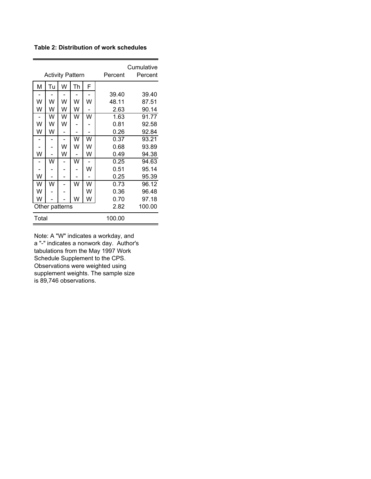**Table 2: Distribution of work schedules**

|       | <b>Activity Pattern</b> |   |                         | Percent | Cumulative<br>Percent |       |
|-------|-------------------------|---|-------------------------|---------|-----------------------|-------|
| М     | Tu                      | W | Th                      | F       |                       |       |
|       |                         |   |                         |         | 39.40                 | 39.40 |
| W     | W                       | W | W                       | W       | 48.11                 | 87.51 |
| W     | W                       | W | W                       |         | 2.63                  | 90.14 |
|       | W                       | W | w                       | W       | 1.63                  | 91.77 |
| W     | W                       | W |                         |         | 0.81                  | 92.58 |
| W     | W                       |   |                         |         | 0.26                  | 92.84 |
|       |                         |   | $\overline{\mathsf{W}}$ | W       | 0.37                  | 93.21 |
|       |                         | W | w                       | W       | 0.68                  | 93.89 |
| W     |                         | W |                         | W       | 0.49                  | 94.38 |
|       | W                       |   | W                       |         | 0.25                  | 94.63 |
|       |                         |   |                         | W       | 0.51                  | 95.14 |
| W     |                         |   |                         |         | 0.25                  | 95.39 |
| W     | w                       |   | W                       | w       | 0.73                  | 96.12 |
| W     |                         |   |                         | W       | 0.36                  | 96.48 |
| W     |                         |   | W                       | W       | 0.70                  | 97.18 |
|       | Other patterns          |   |                         | 2.82    | 100.00                |       |
| Total |                         |   | 100.00                  |         |                       |       |

Note: A "W" indicates a workday, and a "-" indicates a nonwork day. Author's tabulations from the May 1997 Work Schedule Supplement to the CPS. Observations were weighted using supplement weights. The sample size is 89,746 observations.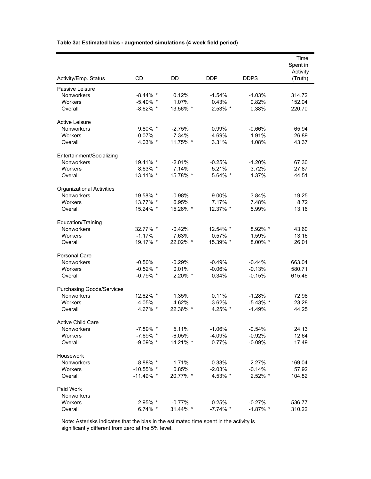|  | Table 3a: Estimated bias - augmented simulations (4 week field period) |  |
|--|------------------------------------------------------------------------|--|
|--|------------------------------------------------------------------------|--|

|                                  |              |            |             |             | Time<br>Spent in<br>Activity |
|----------------------------------|--------------|------------|-------------|-------------|------------------------------|
| Activity/Emp. Status             | CD           | DD         | <b>DDP</b>  | <b>DDPS</b> | (Truth)                      |
| Passive Leisure                  |              |            |             |             |                              |
| Nonworkers                       | $-8.44\%$ *  | 0.12%      | $-1.54%$    | $-1.03%$    | 314.72                       |
| <b>Workers</b>                   | $-5.40\%$ *  | 1.07%      | 0.43%       | 0.82%       | 152.04                       |
| Overall                          | $-8.62\%$ *  | 13.56% *   | 2.53% *     | 0.38%       | 220.70                       |
| <b>Active Leisure</b>            |              |            |             |             |                              |
| Nonworkers                       | $9.80\%$ *   | $-2.75%$   | 0.99%       | $-0.66%$    | 65.94                        |
| Workers                          | $-0.07%$     | $-7.34%$   | $-4.69%$    | 1.91%       | 26.89                        |
| Overall                          | 4.03% *      | 11.75% *   | 3.31%       | 1.08%       | 43.37                        |
| Entertainment/Socializing        |              |            |             |             |                              |
| Nonworkers                       | 19.41% *     | $-2.01%$   | $-0.25%$    | $-1.20%$    | 67.30                        |
| Workers                          | $8.63\%$ *   | 7.14%      | 5.21%       | 3.72%       | 27.87                        |
| Overall                          | 13.11% *     | 15.78% *   | 5.64% *     | 1.37%       | 44.51                        |
| <b>Organizational Activities</b> |              |            |             |             |                              |
| Nonworkers                       | 19.58% *     | $-0.98%$   | 9.00%       | 3.84%       | 19.25                        |
| Workers                          | 13.77% *     | 6.95%      | 7.17%       | 7.48%       | 8.72                         |
| Overall                          | 15.24% *     | 15.26% *   | 12.37% *    | 5.99%       | 13.16                        |
| Education/Training               |              |            |             |             |                              |
| Nonworkers                       | 32.77% *     | $-0.42%$   | 12.54% *    | 8.92% *     | 43.60                        |
| <b>Workers</b>                   | $-1.17%$     | 7.63%      | 0.57%       | 1.59%       | 13.16                        |
| Overall                          | 19.17% *     | 22.02% *   | 15.39% *    | 8.00% *     | 26.01                        |
| <b>Personal Care</b>             |              |            |             |             |                              |
| Nonworkers                       | $-0.50%$     | $-0.29%$   | $-0.49%$    | $-0.44%$    | 663.04                       |
| <b>Workers</b>                   | $-0.52\%$ *  | 0.01%      | $-0.06%$    | $-0.13%$    | 580.71                       |
| Overall                          | $-0.79\%$ *  | $2.20\%$ * | 0.34%       | $-0.15%$    | 615.46                       |
| <b>Purchasing Goods/Services</b> |              |            |             |             |                              |
| Nonworkers                       | 12.62% *     | 1.35%      | 0.11%       | $-1.28%$    | 72.98                        |
| Workers                          | $-4.05%$     | 4.62%      | $-3.62%$    | $-5.43\%$ * | 23.28                        |
| Overall                          | 4.67% *      | 22.36% *   | 4.25% *     | $-1.49%$    | 44.25                        |
| Active Child Care                |              |            |             |             |                              |
| Nonworkers                       | $-7.89\%$ *  | 5.11%      | $-1.06\%$   | $-0.54\%$   | 24.13                        |
| Workers                          | $-7.69\%$ *  | $-6.05%$   | $-4.09%$    | $-0.92%$    | 12.64                        |
| Overall                          | $-9.09\%$ *  | 14.21% *   | 0.77%       | $-0.09\%$   | 17.49                        |
| Housework                        |              |            |             |             |                              |
| Nonworkers                       | $-8.88\%$ *  | 1.71%      | 0.33%       | 2.27%       | 169.04                       |
| Workers                          | $-10.55\%$ * | 0.85%      | $-2.03%$    | $-0.14%$    | 57.92                        |
| Overall                          | $-11.49\%$ * | 20.77% *   | 4.53% *     | 2.52% *     | 104.82                       |
| Paid Work                        |              |            |             |             |                              |
| Nonworkers                       |              |            |             |             |                              |
| <b>Workers</b>                   | $2.95\%$ *   | $-0.77%$   | 0.25%       | $-0.27%$    | 536.77                       |
| Overall                          | $6.74\%$ *   | 31.44% *   | $-7.74\%$ * | $-1.87\%$ * | 310.22                       |

Note: Asterisks indicates that the bias in the estimated time spent in the activity is significantly different from zero at the 5% level.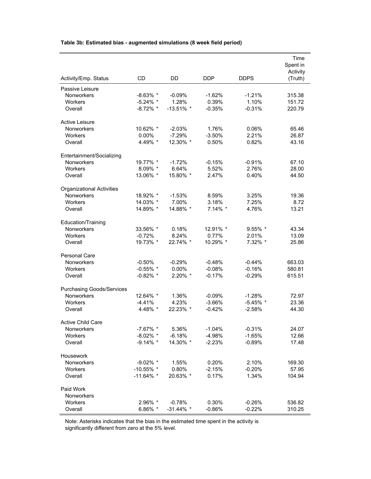|  | Table 3b: Estimated bias - augmented simulations (8 week field period) |  |
|--|------------------------------------------------------------------------|--|
|--|------------------------------------------------------------------------|--|

|                                  |                            |                      |                      |                      | Time<br>Spent in<br>Activity |
|----------------------------------|----------------------------|----------------------|----------------------|----------------------|------------------------------|
| Activity/Emp. Status             | <b>CD</b>                  | <b>DD</b>            | DDP                  | <b>DDPS</b>          | (Truth)                      |
| Passive Leisure                  |                            |                      |                      |                      |                              |
| Nonworkers                       | $-8.63\%$ *<br>$-5.24\%$ * | $-0.09\%$<br>1.28%   | $-1.62%$<br>0.39%    | $-1.21%$<br>1.10%    | 315.38                       |
| <b>Workers</b><br>Overall        | $-8.72\%$ *                | $-13.51\%$ *         | $-0.35%$             | $-0.31%$             | 151.72<br>220.79             |
| <b>Active Leisure</b>            |                            |                      |                      |                      |                              |
| Nonworkers                       | 10.62% *                   | $-2.03%$             | 1.76%                | 0.06%                | 65.46                        |
| Workers                          | 0.00%                      | $-7.29%$             | $-3.50%$             | 2.21%                | 26.87                        |
| Overall                          | 4.49% *                    | 12.30% *             | 0.50%                | 0.82%                | 43.16                        |
| Entertainment/Socializing        |                            |                      |                      |                      |                              |
| <b>Nonworkers</b>                | 19.77% *                   | $-1.72%$             | $-0.15%$             | $-0.91%$             | 67.10                        |
| Workers                          | 8.09% *                    | 6.64%                | 5.52%                | 2.76%                | 28.00                        |
| Overall                          | 13.06% *                   | 15.80% *             | 2.47%                | 0.40%                | 44.50                        |
| <b>Organizational Activities</b> |                            |                      |                      |                      |                              |
| Nonworkers                       | 18.92% *                   | $-1.53%$             | 8.59%                | 3.25%                | 19.36                        |
| <b>Workers</b><br>Overall        | 14.03% *<br>14.89% *       | 7.00%<br>14.88% *    | 3.18%<br>7.14% *     | 7.25%<br>4.76%       | 8.72<br>13.21                |
|                                  |                            |                      |                      |                      |                              |
| Education/Training               |                            |                      |                      |                      |                              |
| Nonworkers<br>Workers            | 33.56% *<br>$-0.72%$       | 0.18%<br>8.24%       | 12.91% *<br>0.77%    | 9.55% *<br>2.01%     | 43.34<br>13.09               |
| Overall                          | 19.73% *                   | 22.74% *             | 10.29% *             | 7.32% *              | 25.86                        |
|                                  |                            |                      |                      |                      |                              |
| <b>Personal Care</b>             |                            |                      |                      |                      |                              |
| Nonworkers                       | $-0.50%$                   | $-0.29%$             | $-0.48%$             | $-0.44%$             | 663.03                       |
| Workers                          | $-0.55\%$ *                | $0.00\%$             | $-0.08%$             | $-0.16%$             | 580.81                       |
| Overall                          | $-0.82\%$ *                | 2.20% *              | $-0.17%$             | $-0.29%$             | 615.51                       |
| <b>Purchasing Goods/Services</b> |                            |                      |                      |                      |                              |
| Nonworkers                       | 12.64% *                   | 1.36%                | $-0.09%$             | $-1.28%$             | 72.97                        |
| Workers                          | $-4.41%$                   | 4.23%                | $-3.66%$             | $-5.45\%$ *          | 23.36                        |
| Overall                          | 4.48% *                    | 22.23% *             | $-0.42%$             | $-2.58%$             | 44.30                        |
| <b>Active Child Care</b>         |                            |                      |                      |                      |                              |
| <b>Nonworkers</b>                | $-7.67\%$ *                | 5.36%                | $-1.04\%$            | $-0.31%$             | 24.07                        |
| Workers<br>Overall               | $-8.02\%$ *<br>$-9.14\%$ * | $-6.18%$<br>14.30% * | $-4.98%$<br>$-2.23%$ | $-1.65%$<br>$-0.89%$ | 12.66<br>17.48               |
|                                  |                            |                      |                      |                      |                              |
| Housework                        |                            |                      |                      |                      |                              |
| Nonworkers                       | $-9.02\%$ *                | 1.55%                | 0.20%                | 2.10%                | 169.30                       |
| Workers                          | $-10.55\%$ *               | 0.80%                | $-2.15%$             | $-0.20%$             | 57.95                        |
| Overall                          | $-11.64\%$ *               | 20.63% *             | 0.17%                | 1.34%                | 104.94                       |
| Paid Work                        |                            |                      |                      |                      |                              |
| Nonworkers<br>Workers            | $2.96\%$ *                 | $-0.78%$             | 0.30%                | $-0.26%$             | 536.82                       |
| Overall                          | 6.86% $*$                  | $-31.44\%$ *         | $-0.86%$             | $-0.22%$             | 310.25                       |
|                                  |                            |                      |                      |                      |                              |

Note: Asterisks indicates that the bias in the estimated time spent in the activity is significantly different from zero at the 5% level.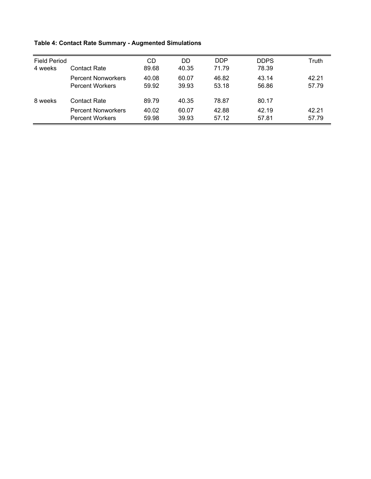## **Table 4: Contact Rate Summary - Augmented Simulations**

| <b>Field Period</b> |                           | CD    | DD.   | <b>DDP</b> | <b>DDPS</b> | Truth |
|---------------------|---------------------------|-------|-------|------------|-------------|-------|
| 4 weeks             | Contact Rate              | 89.68 | 40.35 | 71.79      | 78.39       |       |
|                     | <b>Percent Nonworkers</b> | 40.08 | 60.07 | 46.82      | 43.14       | 42.21 |
|                     | <b>Percent Workers</b>    | 59.92 | 39.93 | 53.18      | 56.86       | 57.79 |
| 8 weeks             | Contact Rate              | 89.79 | 40.35 | 78.87      | 80.17       |       |
|                     | <b>Percent Nonworkers</b> | 40.02 | 60.07 | 42.88      | 42.19       | 42.21 |
|                     | <b>Percent Workers</b>    | 59.98 | 39.93 | 57.12      | 57.81       | 57.79 |